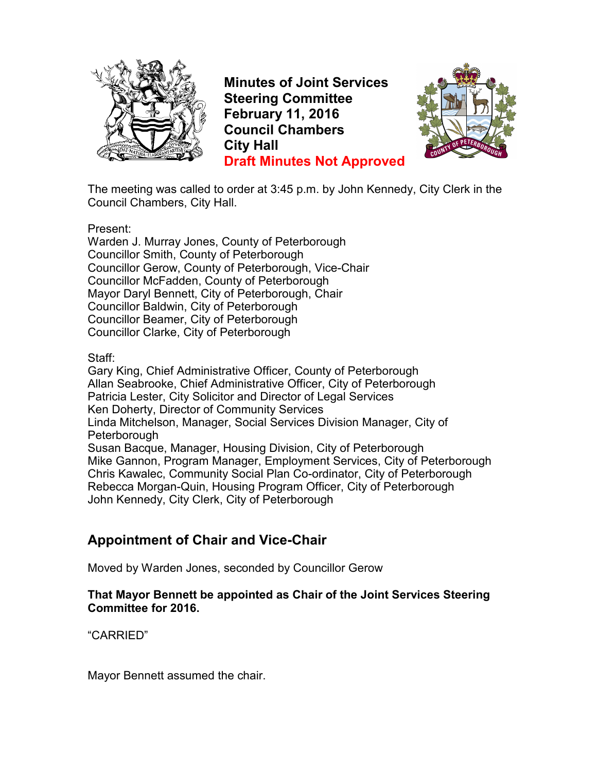

**Minutes of Joint Services Steering Committee February 11, 2016 Council Chambers City Hall Draft Minutes Not Approved**



The meeting was called to order at 3:45 p.m. by John Kennedy, City Clerk in the Council Chambers, City Hall.

Present:

Warden J. Murray Jones, County of Peterborough Councillor Smith, County of Peterborough Councillor Gerow, County of Peterborough, Vice-Chair Councillor McFadden, County of Peterborough Mayor Daryl Bennett, City of Peterborough, Chair Councillor Baldwin, City of Peterborough Councillor Beamer, City of Peterborough Councillor Clarke, City of Peterborough

Staff:

Gary King, Chief Administrative Officer, County of Peterborough Allan Seabrooke, Chief Administrative Officer, City of Peterborough Patricia Lester, City Solicitor and Director of Legal Services Ken Doherty, Director of Community Services Linda Mitchelson, Manager, Social Services Division Manager, City of **Peterborough** Susan Bacque, Manager, Housing Division, City of Peterborough Mike Gannon, Program Manager, Employment Services, City of Peterborough Chris Kawalec, Community Social Plan Co-ordinator, City of Peterborough Rebecca Morgan-Quin, Housing Program Officer, City of Peterborough John Kennedy, City Clerk, City of Peterborough

# **Appointment of Chair and Vice-Chair**

Moved by Warden Jones, seconded by Councillor Gerow

#### **That Mayor Bennett be appointed as Chair of the Joint Services Steering Committee for 2016.**

"CARRIED"

Mayor Bennett assumed the chair.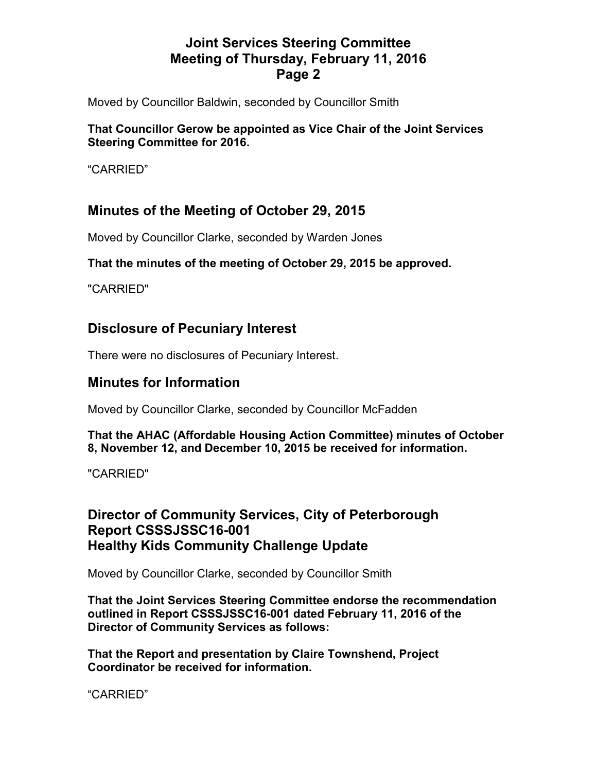Moved by Councillor Baldwin, seconded by Councillor Smith

#### **That Councillor Gerow be appointed as Vice Chair of the Joint Services Steering Committee for 2016.**

"CARRIED"

# **Minutes of the Meeting of October 29, 2015**

Moved by Councillor Clarke, seconded by Warden Jones

#### **That the minutes of the meeting of October 29, 2015 be approved.**

"CARRIED"

## **Disclosure of Pecuniary Interest**

There were no disclosures of Pecuniary Interest.

## **Minutes for Information**

Moved by Councillor Clarke, seconded by Councillor McFadden

#### **That the AHAC (Affordable Housing Action Committee) minutes of October 8, November 12, and December 10, 2015 be received for information.**

"CARRIED"

#### **Director of Community Services, City of Peterborough Report CSSSJSSC16-001 Healthy Kids Community Challenge Update**

Moved by Councillor Clarke, seconded by Councillor Smith

**That the Joint Services Steering Committee endorse the recommendation outlined in Report CSSSJSSC16-001 dated February 11, 2016 of the Director of Community Services as follows:** 

**That the Report and presentation by Claire Townshend, Project Coordinator be received for information.** 

"CARRIED"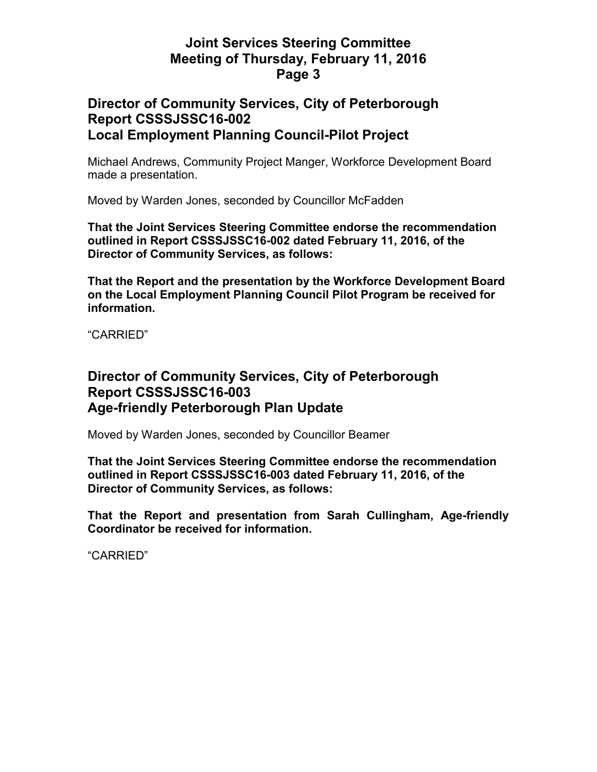#### **Director of Community Services, City of Peterborough Report CSSSJSSC16-002 Local Employment Planning Council-Pilot Project**

Michael Andrews, Community Project Manger, Workforce Development Board made a presentation.

Moved by Warden Jones, seconded by Councillor McFadden

**That the Joint Services Steering Committee endorse the recommendation outlined in Report CSSSJSSC16-002 dated February 11, 2016, of the Director of Community Services, as follows:** 

**That the Report and the presentation by the Workforce Development Board on the Local Employment Planning Council Pilot Program be received for information.** 

"CARRIED"

## **Director of Community Services, City of Peterborough Report CSSSJSSC16-003 Age-friendly Peterborough Plan Update**

Moved by Warden Jones, seconded by Councillor Beamer

**That the Joint Services Steering Committee endorse the recommendation outlined in Report CSSSJSSC16-003 dated February 11, 2016, of the Director of Community Services, as follows:** 

**That the Report and presentation from Sarah Cullingham, Age-friendly Coordinator be received for information.** 

"CARRIED"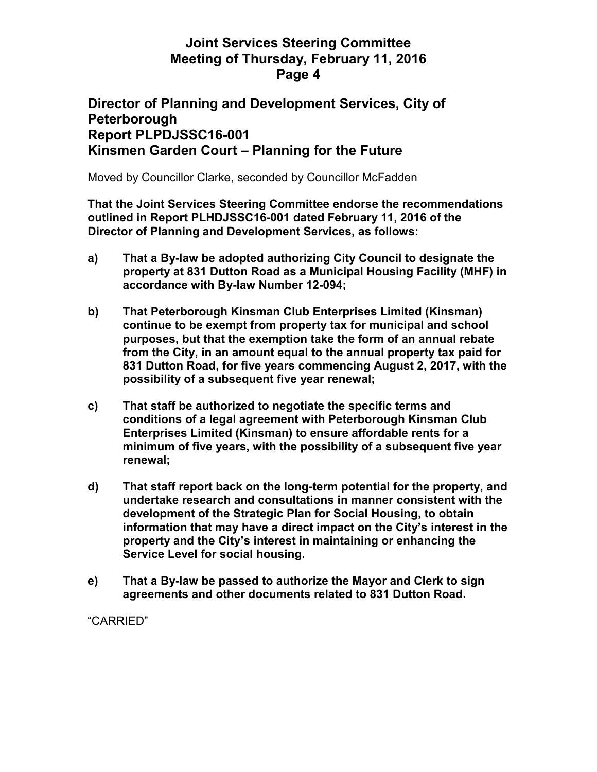#### **Director of Planning and Development Services, City of Peterborough Report PLPDJSSC16-001 Kinsmen Garden Court – Planning for the Future**

Moved by Councillor Clarke, seconded by Councillor McFadden

**That the Joint Services Steering Committee endorse the recommendations outlined in Report PLHDJSSC16-001 dated February 11, 2016 of the Director of Planning and Development Services, as follows:** 

- **a) That a By-law be adopted authorizing City Council to designate the property at 831 Dutton Road as a Municipal Housing Facility (MHF) in accordance with By-law Number 12-094;**
- **b) That Peterborough Kinsman Club Enterprises Limited (Kinsman) continue to be exempt from property tax for municipal and school purposes, but that the exemption take the form of an annual rebate from the City, in an amount equal to the annual property tax paid for 831 Dutton Road, for five years commencing August 2, 2017, with the possibility of a subsequent five year renewal;**
- **c) That staff be authorized to negotiate the specific terms and conditions of a legal agreement with Peterborough Kinsman Club Enterprises Limited (Kinsman) to ensure affordable rents for a minimum of five years, with the possibility of a subsequent five year renewal;**
- **d) That staff report back on the long-term potential for the property, and undertake research and consultations in manner consistent with the development of the Strategic Plan for Social Housing, to obtain information that may have a direct impact on the City's interest in the property and the City's interest in maintaining or enhancing the Service Level for social housing.**
- **e) That a By-law be passed to authorize the Mayor and Clerk to sign agreements and other documents related to 831 Dutton Road.**

"CARRIED"